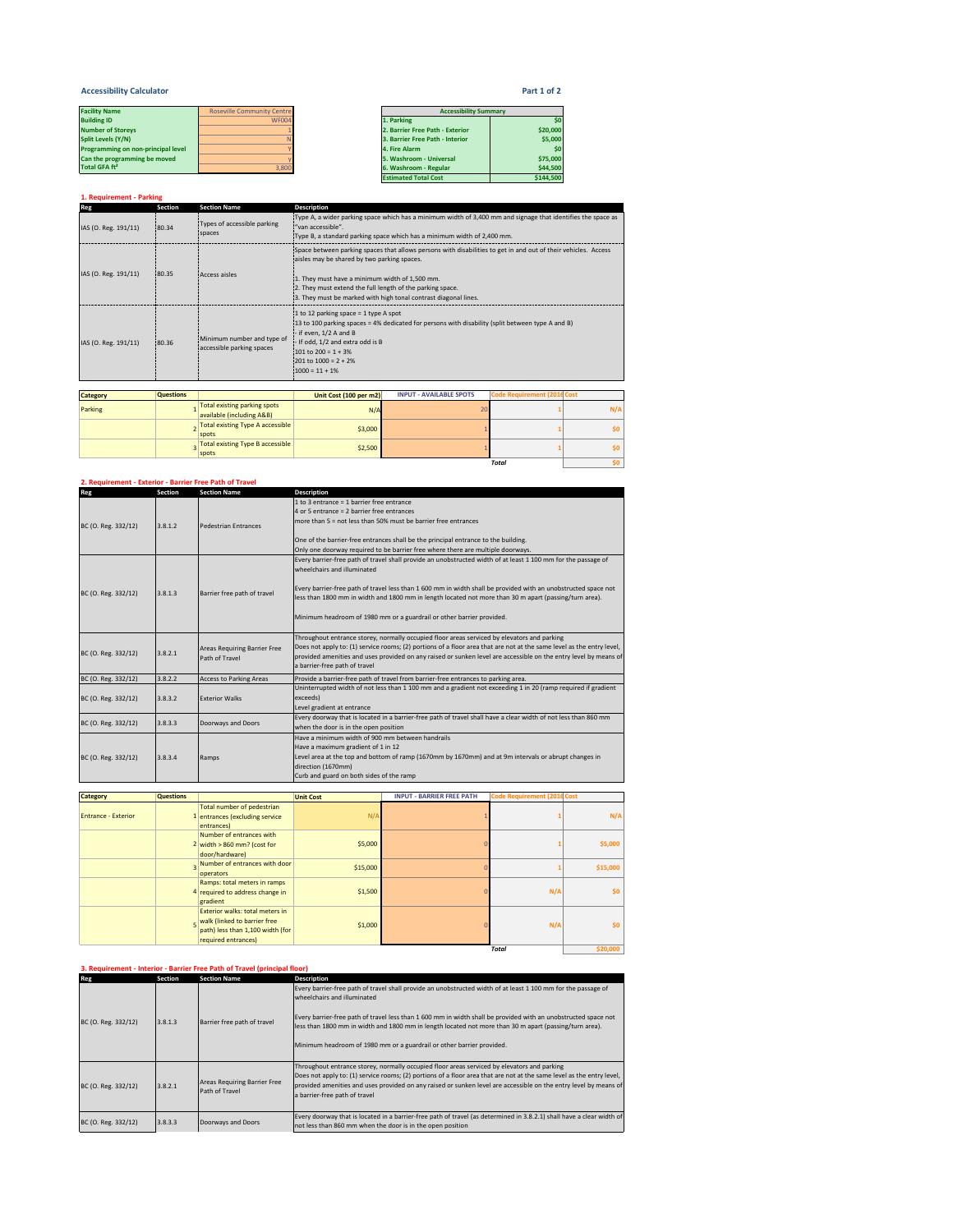## **Accessibility Calculator Part 1 of 2**

| <b>Facility Name</b>               | <b>Roseville Community Centre</b> | <b>Accessibility Summary</b>    |          |  |
|------------------------------------|-----------------------------------|---------------------------------|----------|--|
| <b>Building ID</b>                 | WF004                             | 1. Parking                      | \$0      |  |
| <b>Number of Storevs</b>           |                                   | 2. Barrier Free Path - Exterior | \$20,000 |  |
| Split Levels (Y/N)                 |                                   | 3. Barrier Free Path - Interior | \$5,000  |  |
| Programming on non-principal level |                                   | 4. Fire Alarm                   | \$0      |  |
| Can the programming be moved       |                                   | 5. Washroom - Universal         | \$75,000 |  |
| Total GFA ft <sup>2</sup>          | 3.800                             | 6. Washroom - Regular           | \$44,500 |  |

**Total** \$0

| <b>Facility Name</b>               | <b>Roseville Community Centre</b> | <b>Accessibility Summary</b>    |           |
|------------------------------------|-----------------------------------|---------------------------------|-----------|
|                                    |                                   |                                 |           |
| <b>Building ID</b>                 | <b>WF004</b>                      | 1. Parking                      |           |
| <b>Number of Storeys</b>           |                                   | 2. Barrier Free Path - Exterior | \$20,000  |
| Split Levels (Y/N)                 |                                   | 3. Barrier Free Path - Interior | \$5,000   |
| Programming on non-principal level |                                   | 4. Fire Alarm                   |           |
| Can the programming be moved       |                                   | 5. Washroom - Universal         | \$75,000  |
| Total GFA ft <sup>2</sup>          | 3.800                             | 6. Washroom - Regular           | \$44,500  |
|                                    |                                   | <b>Estimated Total Cost</b>     | \$144,500 |

# **1. Requirement - Parking Reg Section Section Name** IAS (O. Reg. 191/11) 80.34 Types of accessible parking .<br>aces IAS (O. Reg. 191/11) 80.35 Access aisles IAS (O. Reg. 191/11) 80.36 Minimum number and type of Minimum number and type of **Category Questions Unit Cost (100 per m2) INPUT - AVAILABLE SPOTS Code Requirement (2016Cost** Parking <sup>1</sup> Total existing parking spots available (including A&B) N/A <sup>20</sup> **<sup>1</sup> N/A** <sup>2</sup> Total existing Type A accessible spots \$3,000 <sup>1</sup> **<sup>1</sup> \$0 Description** Type A, a wider parking space which has a minimum width of 3,400 mm and signage that identifies the space as "van accessible". Type B, a standard parking space which has a minimum width of 2,400 mm. Space between parking spaces that allows persons with disabilities to get in and out of their vehicles. Access aisles may be shared by two parking spaces. 1. They must have a minimum width of 1,500 mm. 2. They must extend the full length of the parking space. 3. They must be marked with high tonal contrast diagonal lines. 1 to 12 parking space = 1 type A spot<br>13 to 100 parking spaces = 4% dedicated for persons with disability (split between type A and B)<br>- if even, 1/2 A and B - If odd, 1/2 and extra odd is B 101 to 200 = 1 + 3% 201 to 1000 = 2 + 2% 1000 = 11 + 1%

3 Total existing Type B accessible **1 52,500 1 1 1 1 50** 

# **2. Requirement - Exterior - Barrier Free Path of Travel**

| Reg                 | Section | <b>Section Name</b>                 | <b>Description</b>                                                                                                                                                                                                       |
|---------------------|---------|-------------------------------------|--------------------------------------------------------------------------------------------------------------------------------------------------------------------------------------------------------------------------|
|                     |         |                                     | 1 to 3 entrance = 1 barrier free entrance                                                                                                                                                                                |
|                     |         |                                     | 4 or 5 entrance = 2 barrier free entrances                                                                                                                                                                               |
| BC (O. Reg. 332/12) | 3.8.1.2 | <b>Pedestrian Entrances</b>         | more than $5 = not$ less than 50% must be barrier free entrances                                                                                                                                                         |
|                     |         |                                     |                                                                                                                                                                                                                          |
|                     |         |                                     | One of the barrier-free entrances shall be the principal entrance to the building.                                                                                                                                       |
|                     |         |                                     | Only one doorway required to be barrier free where there are multiple doorways.                                                                                                                                          |
|                     |         |                                     | Every barrier-free path of travel shall provide an unobstructed width of at least 1 100 mm for the passage of                                                                                                            |
|                     |         |                                     | wheelchairs and illuminated                                                                                                                                                                                              |
|                     |         |                                     |                                                                                                                                                                                                                          |
| BC (O. Reg. 332/12) | 3.8.1.3 | Barrier free path of travel         | Every barrier-free path of travel less than 1 600 mm in width shall be provided with an unobstructed space not<br>less than 1800 mm in width and 1800 mm in length located not more than 30 m apart (passing/turn area). |
|                     |         |                                     |                                                                                                                                                                                                                          |
|                     |         |                                     | Minimum headroom of 1980 mm or a guardrail or other barrier provided.                                                                                                                                                    |
|                     |         |                                     |                                                                                                                                                                                                                          |
|                     |         |                                     | Throughout entrance storey, normally occupied floor areas serviced by elevators and parking                                                                                                                              |
|                     |         | <b>Areas Requiring Barrier Free</b> | Does not apply to: (1) service rooms; (2) portions of a floor area that are not at the same level as the entry level,                                                                                                    |
| BC (O. Reg. 332/12) | 3.8.2.1 | Path of Travel                      | provided amenities and uses provided on any raised or sunken level are accessible on the entry level by means of                                                                                                         |
|                     |         |                                     | a barrier-free path of travel                                                                                                                                                                                            |
| BC (O. Reg. 332/12) | 3.8.2.2 | <b>Access to Parking Areas</b>      | Provide a barrier-free path of travel from barrier-free entrances to parking area.                                                                                                                                       |
|                     |         |                                     | Uninterrupted width of not less than 1 100 mm and a gradient not exceeding 1 in 20 (ramp required if gradient                                                                                                            |
| BC (O. Reg. 332/12) | 3.8.3.2 | <b>Exterior Walks</b>               | exceeds)                                                                                                                                                                                                                 |
|                     |         |                                     | Level gradient at entrance                                                                                                                                                                                               |
| BC (O. Reg. 332/12) | 3.8.3.3 | Doorways and Doors                  | Every doorway that is located in a barrier-free path of travel shall have a clear width of not less than 860 mm                                                                                                          |
|                     |         |                                     | when the door is in the open position                                                                                                                                                                                    |
|                     |         |                                     | Have a minimum width of 900 mm between handrails                                                                                                                                                                         |
|                     |         |                                     | Have a maximum gradient of 1 in 12                                                                                                                                                                                       |
| BC (O. Reg. 332/12) | 3.8.3.4 | Ramps                               | Level area at the top and bottom of ramp (1670mm by 1670mm) and at 9m intervals or abrupt changes in<br>direction (1670mm)                                                                                               |
|                     |         |                                     | Curb and guard on both sides of the ramp                                                                                                                                                                                 |
|                     |         |                                     |                                                                                                                                                                                                                          |

| <b>Category</b>            | <b>Questions</b> |                                                                                                                            | <b>Unit Cost</b> | <b>INPUT - BARRIER FREE PATH</b> | <b>Code Requirement (2016 Cost</b> |          |
|----------------------------|------------------|----------------------------------------------------------------------------------------------------------------------------|------------------|----------------------------------|------------------------------------|----------|
| <b>Entrance - Exterior</b> |                  | Total number of pedestrian<br>entrances (excluding service<br>entrances)                                                   | N/A              |                                  |                                    | N/A      |
|                            |                  | Number of entrances with<br>2 width $>860$ mm? (cost for<br>door/hardware)                                                 | \$5,000          |                                  |                                    | \$5,000  |
|                            |                  | Number of entrances with door<br>operators                                                                                 | \$15,000         |                                  |                                    | \$15,000 |
|                            |                  | Ramps: total meters in ramps<br>4 required to address change in<br>gradient                                                | \$1,500          |                                  | N/A                                | \$0      |
|                            |                  | Exterior walks: total meters in<br>walk (linked to barrier free<br>path) less than 1,100 width (for<br>required entrances) | \$1,000          |                                  | N/A                                | \$0      |
|                            |                  |                                                                                                                            |                  |                                  | <b>Total</b>                       | \$20,000 |

# **3. Requirement - Interior - Barrier Free Path of Travel (principal floor)**

| Reg                 | Section | <b>Section Name</b>                            | <b>Description</b>                                                                                                                                                                                                                                                                                                                                                                                                                                |
|---------------------|---------|------------------------------------------------|---------------------------------------------------------------------------------------------------------------------------------------------------------------------------------------------------------------------------------------------------------------------------------------------------------------------------------------------------------------------------------------------------------------------------------------------------|
| BC (O. Reg. 332/12) | 3.8.1.3 | Barrier free path of travel                    | Every barrier-free path of travel shall provide an unobstructed width of at least 1 100 mm for the passage of<br>wheelchairs and illuminated<br>Every barrier-free path of travel less than 1 600 mm in width shall be provided with an unobstructed space not<br>less than 1800 mm in width and 1800 mm in length located not more than 30 m apart (passing/turn area).<br>Minimum headroom of 1980 mm or a guardrail or other barrier provided. |
| BC (O. Reg. 332/12) | 3.8.2.1 | Areas Requiring Barrier Free<br>Path of Travel | Throughout entrance storey, normally occupied floor areas serviced by elevators and parking<br>Does not apply to: (1) service rooms; (2) portions of a floor area that are not at the same level as the entry level,<br>provided amenities and uses provided on any raised or sunken level are accessible on the entry level by means of<br>a barrier-free path of travel                                                                         |
| BC (O. Reg. 332/12) | 3.8.3.3 | Doorways and Doors                             | Every doorway that is located in a barrier-free path of travel (as determined in 3.8.2.1) shall have a clear width of<br>not less than 860 mm when the door is in the open position                                                                                                                                                                                                                                                               |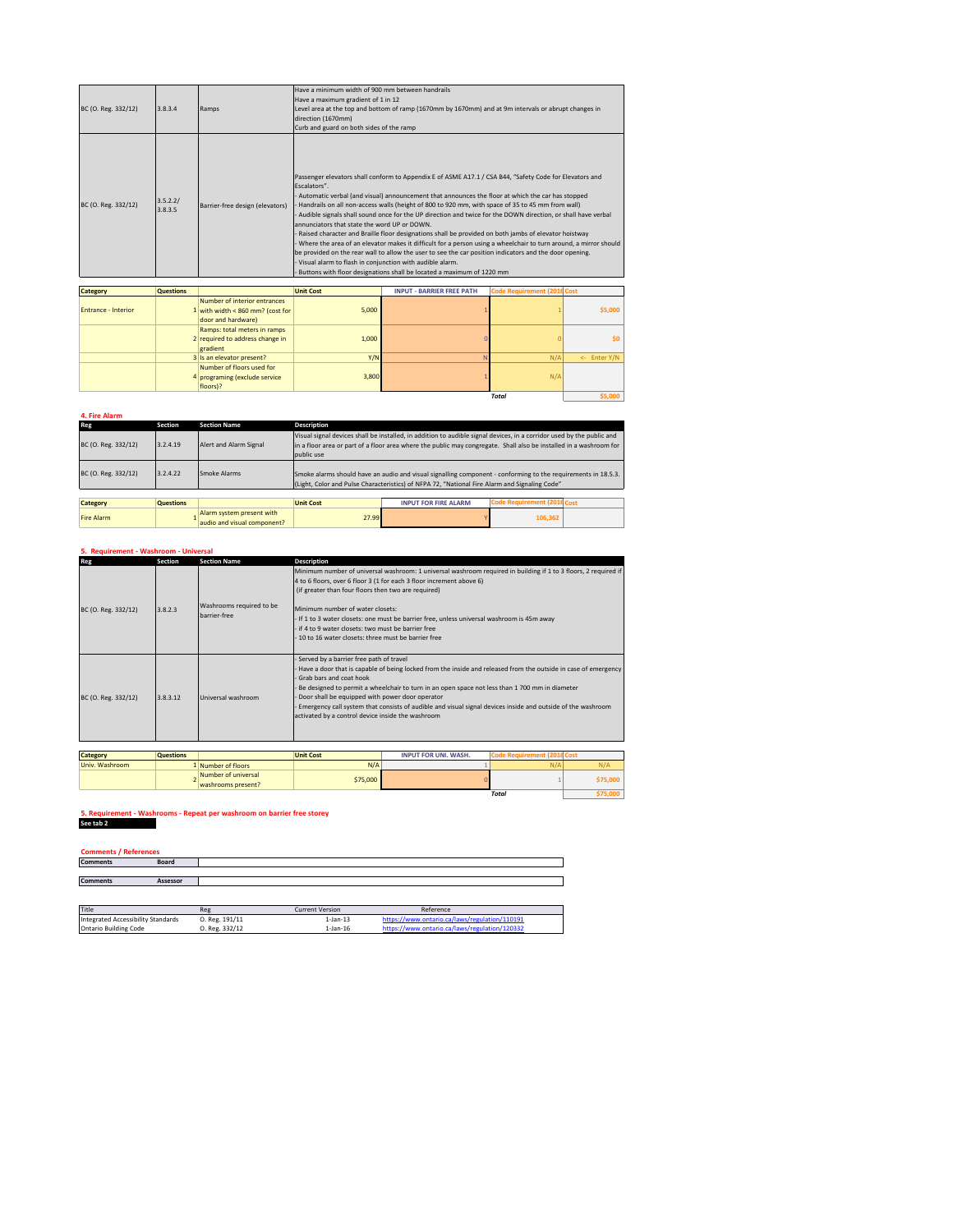| BC (O. Reg. 332/12) | 3.8.3.4             | Ramps                           | Have a minimum width of 900 mm between handrails<br>Have a maximum gradient of 1 in 12<br>Level area at the top and bottom of ramp (1670mm by 1670mm) and at 9m intervals or abrupt changes in<br>direction (1670mm)                                                                                                                                                                                                                                                                                                                                                                                                                                                                                                                                                                                                                                                               |
|---------------------|---------------------|---------------------------------|------------------------------------------------------------------------------------------------------------------------------------------------------------------------------------------------------------------------------------------------------------------------------------------------------------------------------------------------------------------------------------------------------------------------------------------------------------------------------------------------------------------------------------------------------------------------------------------------------------------------------------------------------------------------------------------------------------------------------------------------------------------------------------------------------------------------------------------------------------------------------------|
| BC (O. Reg. 332/12) | 3.5.2.2/<br>3.8.3.5 | Barrier-free design (elevators) | Curb and guard on both sides of the ramp<br>Passenger elevators shall conform to Appendix E of ASME A17.1 / CSA B44, "Safety Code for Elevators and<br>Escalators".<br>Automatic verbal (and visual) announcement that announces the floor at which the car has stopped<br>Handrails on all non-access walls (height of 800 to 920 mm, with space of 35 to 45 mm from wall)<br>Audible signals shall sound once for the UP direction and twice for the DOWN direction, or shall have verbal<br>annunciators that state the word UP or DOWN.<br>Raised character and Braille floor designations shall be provided on both jambs of elevator hoistway<br>Where the area of an elevator makes it difficult for a person using a wheelchair to turn around, a mirror should<br>be provided on the rear wall to allow the user to see the car position indicators and the door opening. |
|                     |                     |                                 | Visual alarm to flash in conjunction with audible alarm.<br>Buttons with floor designations shall be located a maximum of 1220 mm                                                                                                                                                                                                                                                                                                                                                                                                                                                                                                                                                                                                                                                                                                                                                  |

| <b>Category</b>            | <b>Questions</b> |                                                                                        | <b>Unit Cost</b> | <b>INPUT - BARRIER FREE PATH</b> | <b>Code Requirement (2016 Cost</b> |              |
|----------------------------|------------------|----------------------------------------------------------------------------------------|------------------|----------------------------------|------------------------------------|--------------|
| <b>Entrance - Interior</b> |                  | Number of interior entrances<br>1 with width < 860 mm? (cost for<br>door and hardware) | 5,000            |                                  |                                    | \$5,000      |
|                            |                  | Ramps: total meters in ramps<br>2 required to address change in<br>eradient            | 1,000            |                                  |                                    | \$0          |
|                            |                  | 3 Is an elevator present?                                                              | Y/N              |                                  | N/A                                | <- Enter Y/N |
|                            |                  | Number of floors used for<br>4 programing (exclude service<br>floors)?                 | 3,800            |                                  | N/A                                |              |
|                            |                  |                                                                                        |                  |                                  | Total                              | \$5,000      |

| 4. Fire Alarm       |                  |                                                          |                                                                                                                                                                                                                |                                                                                                                                                                                                                                             |                                    |  |
|---------------------|------------------|----------------------------------------------------------|----------------------------------------------------------------------------------------------------------------------------------------------------------------------------------------------------------------|---------------------------------------------------------------------------------------------------------------------------------------------------------------------------------------------------------------------------------------------|------------------------------------|--|
| Reg                 | Section          | <b>Section Name</b>                                      | <b>Description</b>                                                                                                                                                                                             |                                                                                                                                                                                                                                             |                                    |  |
| BC (O. Reg. 332/12) | 3.2.4.19         | Alert and Alarm Signal                                   | public use                                                                                                                                                                                                     | Visual signal devices shall be installed, in addition to audible signal devices, in a corridor used by the public and<br>in a floor area or part of a floor area where the public may congregate. Shall also be installed in a washroom for |                                    |  |
| BC (O. Reg. 332/12) | 3.2.4.22         | Smoke Alarms                                             | Smoke alarms should have an audio and visual signalling component - conforming to the requirements in 18.5.3.<br>(Light, Color and Pulse Characteristics) of NFPA 72. "National Fire Alarm and Signaling Code" |                                                                                                                                                                                                                                             |                                    |  |
| Category            | <b>Questions</b> |                                                          | <b>Unit Cost</b>                                                                                                                                                                                               | <b>INPUT FOR FIRE ALARM</b>                                                                                                                                                                                                                 | <b>Code Requirement (2016 Cost</b> |  |
|                     |                  |                                                          |                                                                                                                                                                                                                |                                                                                                                                                                                                                                             |                                    |  |
| <b>Fire Alarm</b>   |                  | Alarm system present with<br>audio and visual component? | 27.99                                                                                                                                                                                                          |                                                                                                                                                                                                                                             | 106,362                            |  |

## **5. Requirement - Washroom - Universal**

| Reg                              | Section          | <b>Section Name</b>                      | Description                                                                                                                                                                                                                                                                                                                                                                                                                                                                                                   |                                                                                            |                                    |  |
|----------------------------------|------------------|------------------------------------------|---------------------------------------------------------------------------------------------------------------------------------------------------------------------------------------------------------------------------------------------------------------------------------------------------------------------------------------------------------------------------------------------------------------------------------------------------------------------------------------------------------------|--------------------------------------------------------------------------------------------|------------------------------------|--|
|                                  |                  |                                          | Minimum number of universal washroom: 1 universal washroom required in building if 1 to 3 floors, 2 required if                                                                                                                                                                                                                                                                                                                                                                                               |                                                                                            |                                    |  |
|                                  |                  |                                          |                                                                                                                                                                                                                                                                                                                                                                                                                                                                                                               | 4 to 6 floors, over 6 floor 3 (1 for each 3 floor increment above 6)                       |                                    |  |
|                                  |                  |                                          | (if greater than four floors then two are required)                                                                                                                                                                                                                                                                                                                                                                                                                                                           |                                                                                            |                                    |  |
| BC (O. Reg. 332/12)              | 3.8.2.3          | Washrooms required to be<br>barrier-free | Minimum number of water closets:<br>if 4 to 9 water closets: two must be barrier free<br>- 10 to 16 water closets: three must be barrier free                                                                                                                                                                                                                                                                                                                                                                 | - If 1 to 3 water closets: one must be barrier free, unless universal washroom is 45m away |                                    |  |
| BC (O. Reg. 332/12)              | 3.8.3.12         | Universal washroom                       | Served by a barrier free path of travel<br>Have a door that is capable of being locked from the inside and released from the outside in case of emergency<br>Grab bars and coat book<br>Be designed to permit a wheelchair to turn in an open space not less than 1 700 mm in diameter<br>Door shall be equipped with power door operator<br>Emergency call system that consists of audible and visual signal devices inside and outside of the washroom<br>activated by a control device inside the washroom |                                                                                            |                                    |  |
|                                  |                  |                                          |                                                                                                                                                                                                                                                                                                                                                                                                                                                                                                               |                                                                                            |                                    |  |
| <b>Category</b>                  | <b>Questions</b> |                                          | <b>Unit Cost</b>                                                                                                                                                                                                                                                                                                                                                                                                                                                                                              | <b>INPUT FOR UNI. WASH.</b>                                                                | <b>Code Requirement (2016 Cost</b> |  |
| The fact Address to the property |                  | $A = 1$                                  | $A + I A$                                                                                                                                                                                                                                                                                                                                                                                                                                                                                                     |                                                                                            | <b>ALCAL</b><br>A1/A               |  |

| Univ. Washroom | Number of floors                          | N/A      | N/A   | w    |
|----------------|-------------------------------------------|----------|-------|------|
|                | Number of universal<br>washrooms present? | \$75,000 |       |      |
|                |                                           |          | Total | טעינ |

#### **5. Requirement - Washrooms - Repeat per washroom on barrier free storey S. Requirement - Washi**<br>See tab 2

|                                    | <b>Comments / References</b> |                |                        |                                               |  |  |
|------------------------------------|------------------------------|----------------|------------------------|-----------------------------------------------|--|--|
| <b>Comments</b>                    | Board                        |                |                        |                                               |  |  |
|                                    |                              |                |                        |                                               |  |  |
| <b>Comments</b>                    | <b>Assessor</b>              |                |                        |                                               |  |  |
|                                    |                              |                |                        |                                               |  |  |
|                                    |                              |                |                        |                                               |  |  |
| Title                              |                              | Reg            | <b>Current Version</b> | Reference                                     |  |  |
| Integrated Accessibility Standards |                              | O. Reg. 191/11 | $1$ -Jan- $13$         | https://www.ontario.ca/laws/regulation/110191 |  |  |
| <b>Ontario Building Code</b>       |                              | O. Reg. 332/12 | $1$ -Jan- $16$         | https://www.ontario.ca/laws/regulation/120332 |  |  |